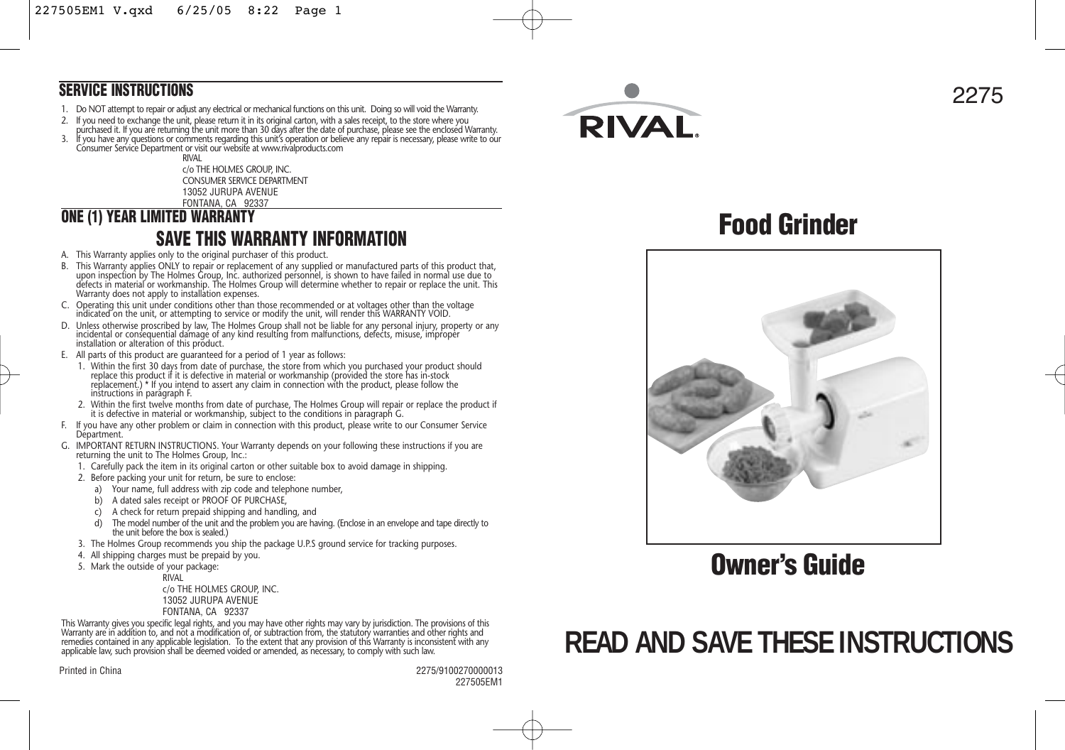#### **SERVICE INSTRUCTIONS**

- 1. Do NOT attempt to repair or adjust any electrical or mechanical functions on this unit. Doing so will void the Warranty.
- 2. It you need to exchange the unit, please return it in its original carton, with a sales receipt, to the store where you<br>purchased it. If you are returning the unit more than 30 days after the date of purchase, please se
- 3. If you have any questions or comments regarding this unit's operation or believe any repair is necessary, please write to our<br>Consumer Service Department or visit our website at www.rivalproducts.com

**RIVAL** c/o THE HOLMES GROUP, INC. CONSUMER SERVICE DEPARTMENT 13052 JURUPA AVENUE FONTANA, CA 92337

# **ONE (1) YEAR LIMITED WARRANTY SAVE THIS WARRANTY INFORMATION**

- A. This Warranty applies only to the original purchaser of this product.
- B. This Warranty applies ONLY to repair or replacement of any supplied or manufactured parts of this product that, upon inspection by The Holmes Group, Inc. authorized personnel, is shown to have failed in normal use due to defects in material or workmanship. The Holmes Group will determine whether to repair or replace the unit. This Warranty does not apply to installation expenses.
- C. Operating this unit under conditions other than those recommended or at voltages other than the voltage indicated on the unit, or attempting to service or modify the unit, will render this WARRANTY VOID.
- D. Unless otherwise proscribed by law, The Holmes Group shall not be liable for any personal injury, property or any incidental or consequential damage of any kind resulting from malfunctions, defects, misuse, improper installation or alteration of this product.
- E. All parts of this product are guaranteed for a period of 1 year as follows:
	- 1. Within the first 30 days from date of purchase, the store from which you purchased your product should replace this product if it is defective in material or workmanship (provided the store has in-stock replacement.) \* If you intend to assert any claim in connection with the product, please follow the instructions in paragraph F.
	- 2. Within the first twelve months from date of purchase, The Holmes Group will repair or replace the product if it is defective in material or workmanship, subject to the conditions in paragraph G.
- F. If you have any other problem or claim in connection with this product, please write to our Consumer Service Départment.
- G. IMPORTANT RETURN INSTRUCTIONS. Your Warranty depends on your following these instructions if you are returning the unit to The Holmes Group, Inc.:
	- 1. Carefully pack the item in its original carton or other suitable box to avoid damage in shipping.
	- 2. Before packing your unit for return, be sure to enclose:
		- a) Your name, full address with zip code and telephone number,
		- b) A dated sales receipt or PROOF OF PURCHASE,
		- c) A check for return prepaid shipping and handling, and
		- The model number of the unit and the problem you are having. (Enclose in an envelope and tape directly to the unit before the box is sealed.)
	- 3. The Holmes Group recommends you ship the package U.P.S ground service for tracking purposes.
	- 4. All shipping charges must be prepaid by you.
	- 5. Mark the outside of your package:

RIVAL c/o THE HOLMES GROUP, INC. 13052 JURUPA AVENUE FONTANA, CA 92337

This Warranty gives you specific legal rights, and you may have other rights may vary by jurisdiction. The provisions of this<br>Warranty are in addition to, and not a modification of, or subtraction from, the statutory warra applicable law, such provision shall be deemed voided or amended, as necessary, to comply with such law.

Printed in China 2275/9100270000013 227505EM1





**Food Grinder**



**Owner's Guide**

# **READ AND SAVE THESE INSTRUCTIONS**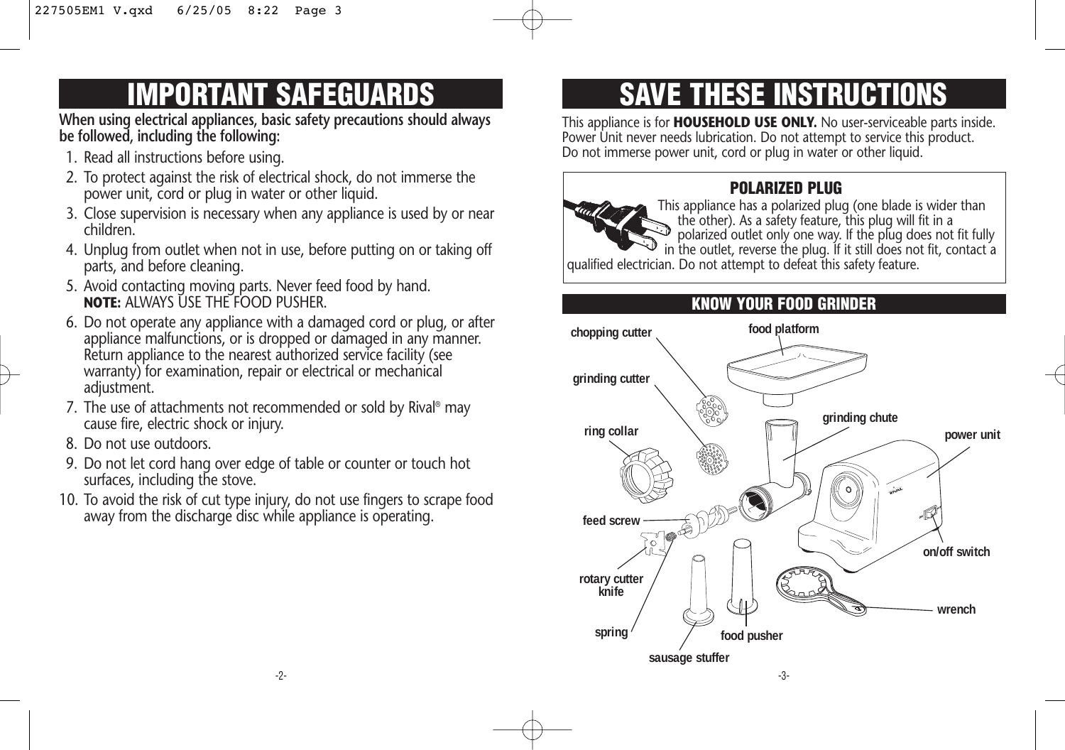# **IMPORTANT SAFEGUARDS**

**When using electrical appliances, basic safety precautions should always be followed, including the following:** 

- 1. Read all instructions before using.
- 2. To protect against the risk of electrical shock, do not immerse the power unit, cord or plug in water or other liquid.
- 3. Close supervision is necessary when any appliance is used by or near children.
- 4. Unplug from outlet when not in use, before putting on or taking off parts, and before cleaning.
- 5. Avoid contacting moving parts. Never feed food by hand. **NOTE:** ALWAYS USE THE FOOD PUSHER.
- 6. Do not operate any appliance with a damaged cord or plug, or after appliance malfunctions, or is dropped or damaged in any manner. Return appliance to the nearest authorized service facility (see warranty) for examination, repair or electrical or mechanical adjustment.
- 7. The use of attachments not recommended or sold by Rival® may cause fire, electric shock or injury.
- 8. Do not use outdoors.
- 9. Do not let cord hang over edge of table or counter or touch hot surfaces, including the stove.
- 10. To avoid the risk of cut type injury, do not use fingers to scrape food away from the discharge disc while appliance is operating.

# **SAVE THESE INSTRUCTIONS**

This appliance is for **HOUSEHOLD USE ONLY.** No user-serviceable parts inside. Power Unit never needs lubrication. Do not attempt to service this product. Do not immerse power unit, cord or plug in water or other liquid.

# **POLARIZED PLUG**



This appliance has a polarized plug (one blade is wider than the other). As a safety feature, this plug will fit in a polarized outlet only one way. If the plug does not fit fully in the outlet, reverse the plug. If it still does not fit, contact a qualified electrician. Do not attempt to defeat this safety feature.

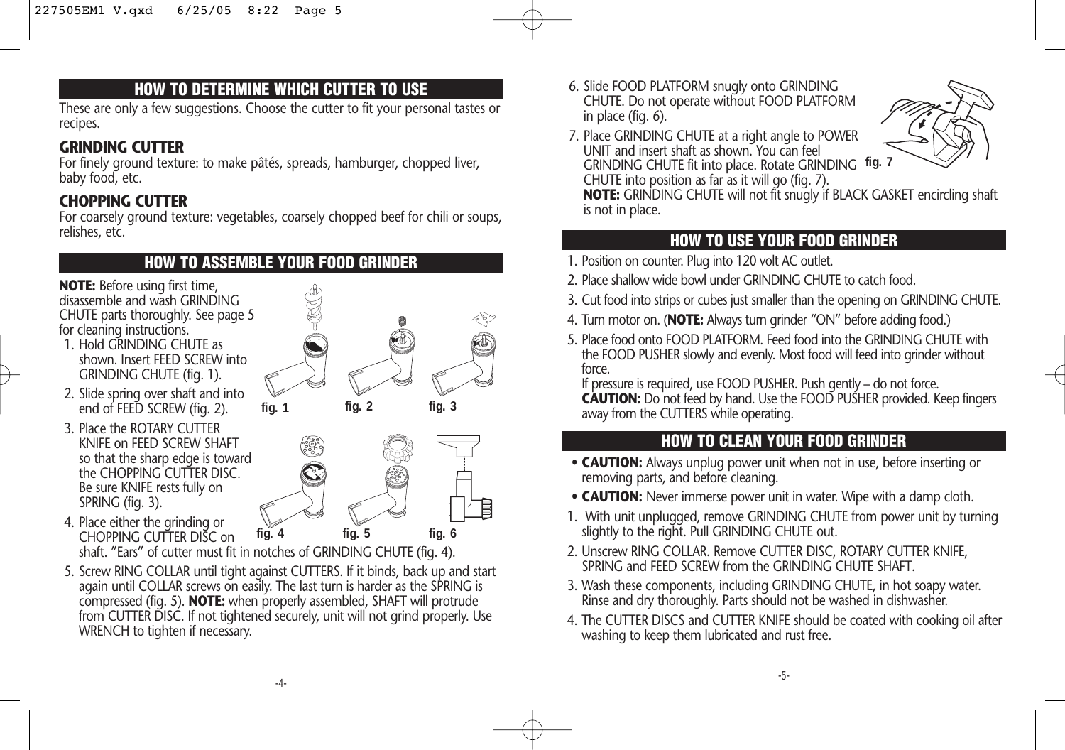### **HOW TO DETERMINE WHICH CUTTER TO USE**

These are only a few suggestions. Choose the cutter to fit your personal tastes or recipes.

### **GRINDING CUTTER**

For finely ground texture: to make pâtés, spreads, hamburger, chopped liver, baby food, etc.

#### **CHOPPING CUTTER**

For coarsely ground texture: vegetables, coarsely chopped beef for chili or soups, relishes, etc.

### **HOW TO ASSEMBLE YOUR FOOD GRINDER**

**NOTE:** Before using first time, disassemble and wash GRINDING CHUTE parts thoroughly. See page 5 for cleaning instructions.

- 1. Hold GRINDING CHUTE as shown. Insert FEED SCREW into GRINDING CHUTE (fig. 1).
- 2. Slide spring over shaft and into end of FEED SCREW (fig. 2).
- 3. Place the ROTARY CUTTER KNIFE on FEED SCREW SHAFT so that the sharp edge is toward the CHOPPING CUTTER DISC. Be sure KNIFE rests fully on SPRING (fig. 3).
- 4. Place either the grinding or CHOPPING CUTTER DISC on shaft. "Ears" of cutter must fit in notches of GRINDING CHUTE (fig. 4). **fig. 4 fig. 5 fig. 6**
- 5. Screw RING COLLAR until tight against CUTTERS. If it binds, back up and start again until COLLAR screws on easily. The last turn is harder as the SPRING is compressed (fig. 5). **NOTE:** when properly assembled, SHAFT will protrude from CUTTER DISC. If not tightened securely, unit will not grind properly. Use WRENCH to tighten if necessary.

6. Slide FOOD PLATFORM snugly onto GRINDING CHUTE. Do not operate without FOOD PLATFORM in place (fig. 6).



7. Place GRINDING CHUTE at a right angle to POWER UNIT and insert shaft as shown. You can feel GRINDING CHUTE fit into place. Rotate GRINDING **fig. 7** CHUTE into position as far as it will go (fig. 7).

**NOTE:** GRINDING CHUTE will not fit snugly if BLACK GASKET encircling shaft is not in place.

### **HOW TO USE YOUR FOOD GRINDER**

- 1. Position on counter. Plug into 120 volt AC outlet.
- 2. Place shallow wide bowl under GRINDING CHUTE to catch food.
- 3. Cut food into strips or cubes just smaller than the opening on GRINDING CHUTE.
- 4. Turn motor on. (**NOTE:** Always turn grinder "ON" before adding food.)
- 5. Place food onto FOOD PLATFORM. Feed food into the GRINDING CHUTE with the FOOD PUSHER slowly and evenly. Most food will feed into grinder without force.

If pressure is required, use FOOD PUSHER. Push gently – do not force. **CAUTION:** Do not feed by hand. Use the FOOD PUSHER provided. Keep fingers away from the CUTTERS while operating.

# **HOW TO CLEAN YOUR FOOD GRINDER**

- **CAUTION:** Always unplug power unit when not in use, before inserting or removing parts, and before cleaning.
- **CAUTION:** Never immerse power unit in water. Wipe with a damp cloth.
- 1. With unit unplugged, remove GRINDING CHUTE from power unit by turning slightly to the right. Pull GRINDING CHUTE out.
- 2. Unscrew RING COLLAR. Remove CUTTER DISC, ROTARY CUTTER KNIFE, SPRING and FEED SCREW from the GRINDING CHUTE SHAFT.
- 3. Wash these components, including GRINDING CHUTE, in hot soapy water. Rinse and dry thoroughly. Parts should not be washed in dishwasher.
- 4. The CUTTER DISCS and CUTTER KNIFE should be coated with cooking oil after washing to keep them lubricated and rust free.

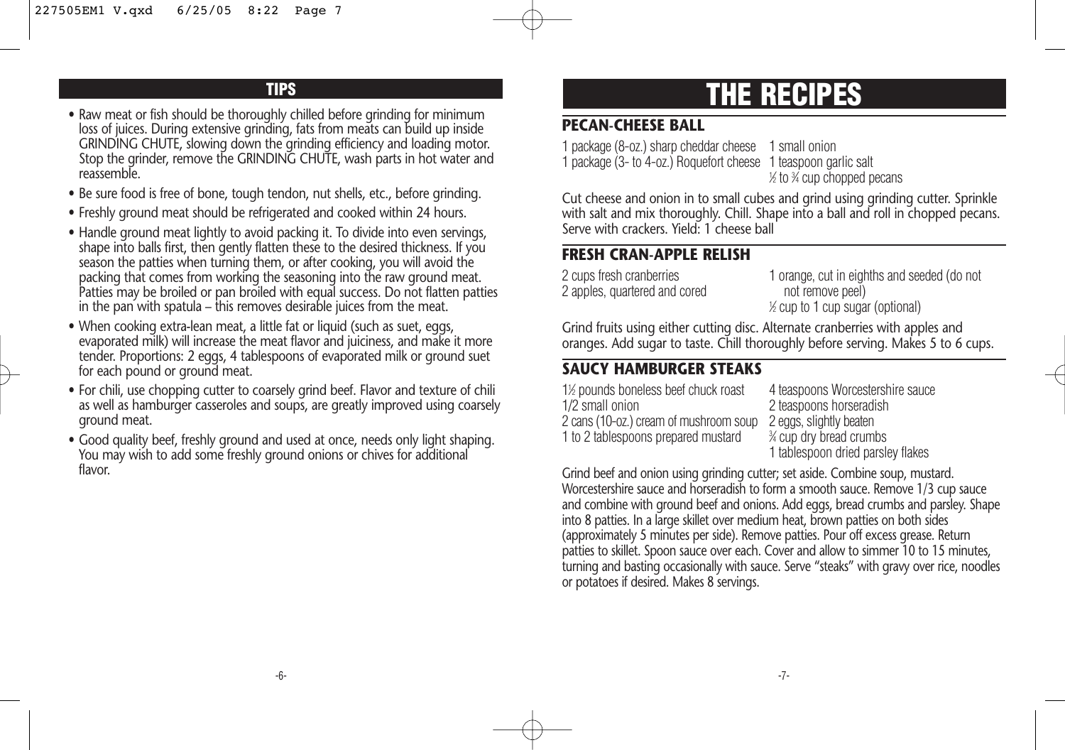#### **TIPS**

- Raw meat or fish should be thoroughly chilled before grinding for minimum loss of juices. During extensive grinding, fats from meats can build up inside GRINDING CHUTE, slowing down the grinding efficiency and loading motor. Stop the grinder, remove the GRINDING CHUTE, wash parts in hot water and reassemble.
- Be sure food is free of bone, tough tendon, nut shells, etc., before grinding.
- Freshly ground meat should be refrigerated and cooked within 24 hours.
- Handle ground meat lightly to avoid packing it. To divide into even servings, shape into balls first, then gently flatten these to the desired thickness. If you season the patties when turning them, or after cooking, you will avoid the packing that comes from working the seasoning into the raw ground meat. Patties may be broiled or pan broiled with equal success. Do not flatten patties in the pan with spatula – this removes desirable juices from the meat.
- When cooking extra-lean meat, a little fat or liquid (such as suet, eggs, evaporated milk) will increase the meat flavor and juiciness, and make it more tender. Proportions: 2 eggs, 4 tablespoons of evaporated milk or ground suet for each pound or ground meat.
- For chili, use chopping cutter to coarsely grind beef. Flavor and texture of chili as well as hamburger casseroles and soups, are greatly improved using coarsely ground meat.
- Good quality beef, freshly ground and used at once, needs only light shaping. You may wish to add some freshly ground onions or chives for additional flavor.

# **THE RECIPES**

#### **PECAN-CHEESE BALL**

1 package (8-oz.) sharp cheddar cheese 1 small onion 1 package (3- to 4-oz.) Roquefort cheese 1 teaspoon garlic salt 1 ⁄2 to 3 ⁄4 cup chopped pecans

Cut cheese and onion in to small cubes and grind using grinding cutter. Sprinkle with salt and mix thoroughly. Chill. Shape into a ball and roll in chopped pecans. Serve with crackers. Yield: 1 cheese ball

#### **FRESH CRAN-APPLE RELISH**

2 apples, quartered and cored not remove peel)

2 cups fresh cranberries 1 orange, cut in eighths and seeded (do not 1 ⁄2 cup to 1 cup sugar (optional)

Grind fruits using either cutting disc. Alternate cranberries with apples and oranges. Add sugar to taste. Chill thoroughly before serving. Makes 5 to 6 cups.

#### **SAUCY HAMBURGER STEAKS**

1<sup>1/2</sup> pounds boneless beef chuck roast 4 teaspoons Worcestershire sauce 1/2 small onion<br>2 cans (10-oz.) cream of mushroom soup 2 eggs, slightly beaten 2 cans (10-oz.) cream of mushroom soup 1 to 2 tablespoons prepared mustard

⁄4 cup dry bread crumbs 1 tablespoon dried parsley flakes

Grind beef and onion using grinding cutter; set aside. Combine soup, mustard. Worcestershire sauce and horseradish to form a smooth sauce. Remove 1/3 cup sauce and combine with ground beef and onions. Add eggs, bread crumbs and parsley. Shape into 8 patties. In a large skillet over medium heat, brown patties on both sides (approximately 5 minutes per side). Remove patties. Pour off excess grease. Return patties to skillet. Spoon sauce over each. Cover and allow to simmer 10 to 15 minutes, turning and basting occasionally with sauce. Serve "steaks" with gravy over rice, noodles or potatoes if desired. Makes 8 servings.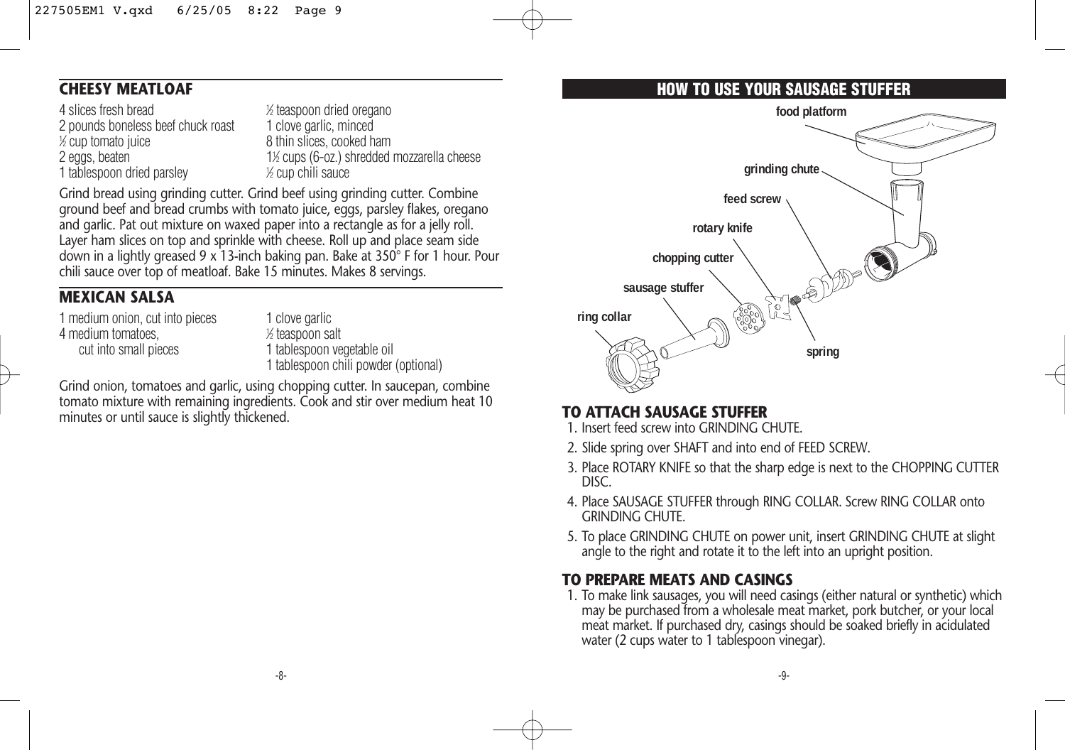## **CHEESY MEATLOAF**

4 slices fresh bread<br>
2 nounds boneless beef chuck roast<br>
1 clove garlic, minced 2 pounds boneless beef chuck roast  $\frac{1}{2}$  cup tomato juice 2 eggs, beaten 1 tablespoon dried parsley <sup>1</sup>

⁄2 teaspoon dried oregano 8 thin slices, cooked ham ⁄2 cups (6-oz.) shredded mozzarella cheese ⁄2 cup chili sauce

Grind bread using grinding cutter. Grind beef using grinding cutter. Combine ground beef and bread crumbs with tomato juice, eggs, parsley flakes, oregano and garlic. Pat out mixture on waxed paper into a rectangle as for a jelly roll. Layer ham slices on top and sprinkle with cheese. Roll up and place seam side down in a lightly greased 9 x 13-inch baking pan. Bake at 350° F for 1 hour. Pour chili sauce over top of meatloaf. Bake 15 minutes. Makes 8 servings.

#### **MEXICAN SALSA**

1 medium onion, cut into pieces 1 clove garlic 4 medium tomatoes,<br>cut into small pieces

⁄2 teaspoon salt 1 tablespoon vegetable oil 1 tablespoon chili powder (optional)

Grind onion, tomatoes and garlic, using chopping cutter. In saucepan, combine tomato mixture with remaining ingredients. Cook and stir over medium heat 10 minutes or until sauce is slightly thickened.

## **HOW TO USE YOUR SAUSAGE STUFFER**



#### **TO ATTACH SAUSAGE STUFFER**

- 1. Insert feed screw into GRINDING CHUTE.
- 2. Slide spring over SHAFT and into end of FEED SCREW.
- 3. Place ROTARY KNIFE so that the sharp edge is next to the CHOPPING CUTTER DISC.
- 4. Place SAUSAGE STUFFER through RING COLLAR. Screw RING COLLAR onto GRINDING CHUTE.
- 5. To place GRINDING CHUTE on power unit, insert GRINDING CHUTE at slight angle to the right and rotate it to the left into an upright position.

#### **TO PREPARE MEATS AND CASINGS**

1. To make link sausages, you will need casings (either natural or synthetic) which may be purchased from a wholesale meat market, pork butcher, or your local meat market. If purchased dry, casings should be soaked briefly in acidulated water (2 cups water to 1 tablespoon vinegar).